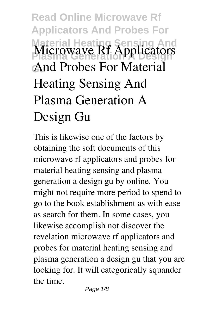## **Read Online Microwave Rf Applicators And Probes For Material Heating Sensing And Microwave Rf Applicators Gu And Probes For Material Heating Sensing And Plasma Generation A Design Gu**

This is likewise one of the factors by obtaining the soft documents of this **microwave rf applicators and probes for material heating sensing and plasma generation a design gu** by online. You might not require more period to spend to go to the book establishment as with ease as search for them. In some cases, you likewise accomplish not discover the revelation microwave rf applicators and probes for material heating sensing and plasma generation a design gu that you are looking for. It will categorically squander the time.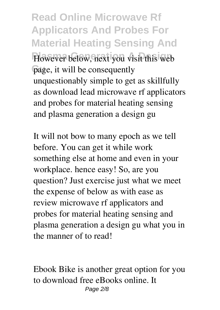**Read Online Microwave Rf Applicators And Probes For Material Heating Sensing And** However below, next you visit this web page, it will be consequently unquestionably simple to get as skillfully as download lead microwave rf applicators and probes for material heating sensing and plasma generation a design gu

It will not bow to many epoch as we tell before. You can get it while work something else at home and even in your workplace. hence easy! So, are you question? Just exercise just what we meet the expense of below as with ease as review **microwave rf applicators and probes for material heating sensing and plasma generation a design gu** what you in the manner of to read!

Ebook Bike is another great option for you to download free eBooks online. It Page 2/8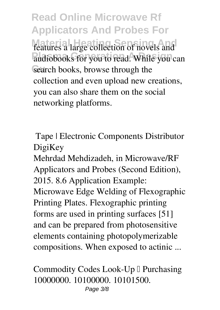**Read Online Microwave Rf Applicators And Probes For** features a large collection of novels and audiobooks for you to read. While you can search books, browse through the collection and even upload new creations, you can also share them on the social networking platforms.

**Tape | Electronic Components Distributor DigiKey**

Mehrdad Mehdizadeh, in Microwave/RF Applicators and Probes (Second Edition), 2015. 8.6 Application Example: Microwave Edge Welding of Flexographic Printing Plates. Flexographic printing forms are used in printing surfaces [51] and can be prepared from photosensitive elements containing photopolymerizable compositions. When exposed to actinic ...

**Commodity Codes Look-Up I Purchasing** 10000000. 10100000. 10101500. Page 3/8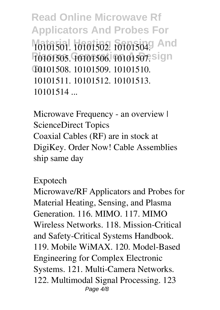**Read Online Microwave Rf Applicators And Probes For** 10101501. 10101502. 10101504. And 10101505. 10101506. 1010150<del>7</del>. sign **Gu** 10101508. 10101509. 10101510. 10101511. 10101512. 10101513. 10101514 ...

**Microwave Frequency - an overview | ScienceDirect Topics** Coaxial Cables (RF) are in stock at DigiKey. Order Now! Cable Assemblies ship same day

**Expotech**

Microwave/RF Applicators and Probes for Material Heating, Sensing, and Plasma Generation. 116. MIMO. 117. MIMO Wireless Networks. 118. Mission-Critical and Safety-Critical Systems Handbook. 119. Mobile WiMAX. 120. Model-Based Engineering for Complex Electronic Systems. 121. Multi-Camera Networks. 122. Multimodal Signal Processing. 123 Page  $4/8$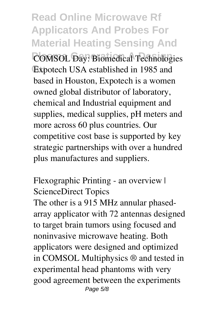**Read Online Microwave Rf Applicators And Probes For Material Heating Sensing And COMSOL Day: Biomedical Technologies** Expotech USA established in 1985 and based in Houston, Expotech is a women owned global distributor of laboratory, chemical and Industrial equipment and supplies, medical supplies, pH meters and more across 60 plus countries. Our competitive cost base is supported by key strategic partnerships with over a hundred plus manufactures and suppliers.

**Flexographic Printing - an overview | ScienceDirect Topics**

The other is a 915 MHz annular phasedarray applicator with 72 antennas designed to target brain tumors using focused and noninvasive microwave heating. Both applicators were designed and optimized in COMSOL Multiphysics ® and tested in experimental head phantoms with very good agreement between the experiments Page 5/8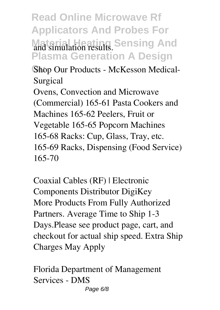**Read Online Microwave Rf Applicators And Probes For** and simulation results. Sensing And **Plasma Generation A Design**

Shop Our Products - McKesson Medical-**Surgical**

Ovens, Convection and Microwave (Commercial) 165-61 Pasta Cookers and Machines 165-62 Peelers, Fruit or Vegetable 165-65 Popcorn Machines 165-68 Racks: Cup, Glass, Tray, etc. 165-69 Racks, Dispensing (Food Service) 165-70

**Coaxial Cables (RF) | Electronic Components Distributor DigiKey** More Products From Fully Authorized Partners. Average Time to Ship 1-3 Days.Please see product page, cart, and checkout for actual ship speed. Extra Ship Charges May Apply

**Florida Department of Management Services - DMS** Page 6/8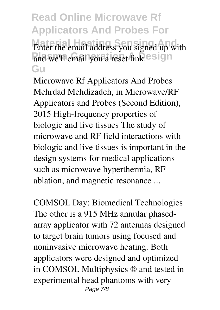**Read Online Microwave Rf Applicators And Probes For Enter the email address you signed up with** and we'll email you a reset link.esign **Gu**

**Microwave Rf Applicators And Probes** Mehrdad Mehdizadeh, in Microwave/RF Applicators and Probes (Second Edition), 2015 High-frequency properties of biologic and live tissues The study of microwave and RF field interactions with biologic and live tissues is important in the design systems for medical applications such as microwave hyperthermia, RF ablation, and magnetic resonance ...

**COMSOL Day: Biomedical Technologies** The other is a 915 MHz annular phasedarray applicator with 72 antennas designed to target brain tumors using focused and noninvasive microwave heating. Both applicators were designed and optimized in COMSOL Multiphysics ® and tested in experimental head phantoms with very Page 7/8